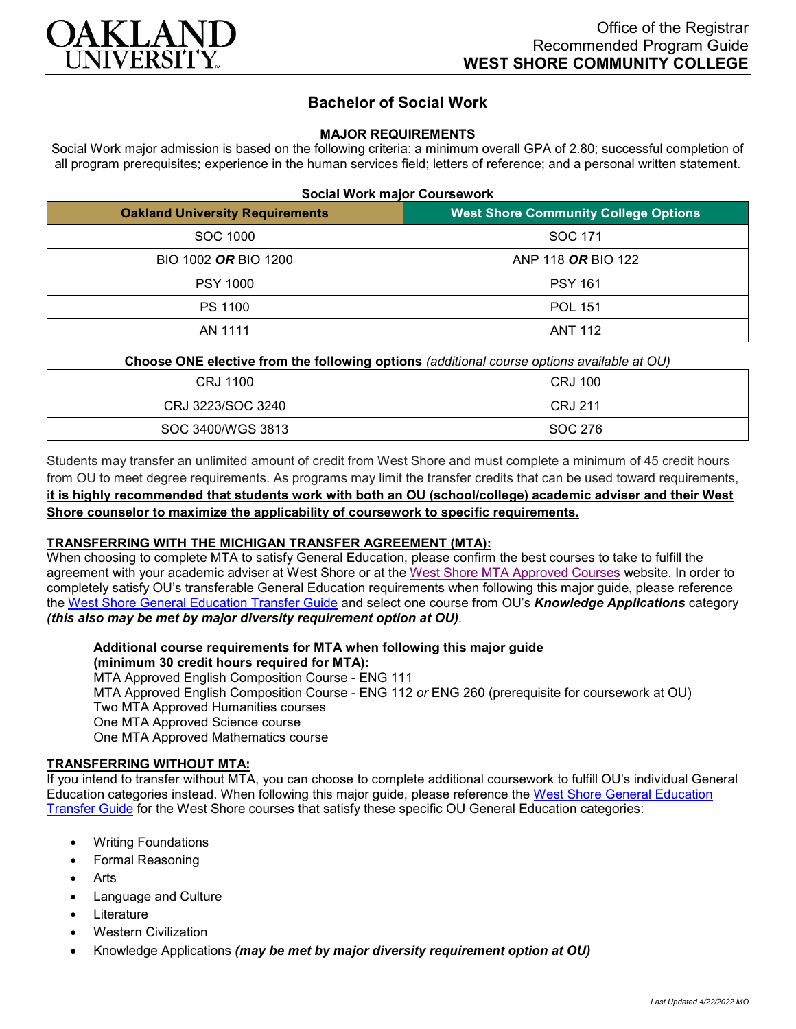

# **Bachelor of Social Work**

## **MAJOR REQUIREMENTS**

Social Work major admission is based on the following criteria: a minimum overall GPA of 2.80; successful completion of all program prerequisites; experience in the human services field; letters of reference; and a personal written statement.

|  |  |  | <b>Social Work major Coursework</b> |
|--|--|--|-------------------------------------|
|--|--|--|-------------------------------------|

| <b>Oakland University Requirements</b> | <b>West Shore Community College Options</b> |
|----------------------------------------|---------------------------------------------|
| SOC 1000                               | SOC 171                                     |
| BIO 1002 OR BIO 1200                   | ANP 118 OR BIO 122                          |
| <b>PSY 1000</b>                        | <b>PSY 161</b>                              |
| PS 1100                                | <b>POL 151</b>                              |
| AN 1111                                | <b>ANT 112</b>                              |

## **Choose ONE elective from the following options** *(additional course options available at OU)*

| CRJ 1100          | <b>CRJ 100</b> |
|-------------------|----------------|
| CRJ 3223/SOC 3240 | <b>CRJ 211</b> |
| SOC 3400/WGS 3813 | SOC 276        |

Students may transfer an unlimited amount of credit from West Shore and must complete a minimum of 45 credit hours from OU to meet degree requirements. As programs may limit the transfer credits that can be used toward requirements, **it is highly recommended that students work with both an OU (school/college) academic adviser and their West Shore counselor to maximize the applicability of coursework to specific requirements.**

# **TRANSFERRING WITH THE MICHIGAN TRANSFER AGREEMENT (MTA):**

When choosing to complete MTA to satisfy General Education, please confirm the best courses to take to fulfill the agreement with your academic adviser at West Shore or at the [West Shore MTA Approved Courses](https://www.westshore.edu/wp-content/uploads/2017/08/WSCC-MTA.pdf) website. In order to completely satisfy OU's transferable General Education requirements when following this major guide, please reference the [West Shore General Education Transfer Guide](https://www.oakland.edu/Assets/Oakland/program-guides/west-shore-community-college/university-general-education-requirements/West%20Shore%20Gen%20Ed.pdf) and select one course from OU's *Knowledge Applications* category *(this also may be met by major diversity requirement option at OU)*.

**Additional course requirements for MTA when following this major guide (minimum 30 credit hours required for MTA):**

MTA Approved English Composition Course - ENG 111 MTA Approved English Composition Course - ENG 112 *or* ENG 260 (prerequisite for coursework at OU) Two MTA Approved Humanities courses One MTA Approved Science course One MTA Approved Mathematics course

# **TRANSFERRING WITHOUT MTA:**

If you intend to transfer without MTA, you can choose to complete additional coursework to fulfill OU's individual General Education categories instead. When following this major guide, please reference the [West Shore General Education](https://www.oakland.edu/Assets/Oakland/program-guides/west-shore-community-college/university-general-education-requirements/West%20Shore%20Gen%20Ed.pdf)  [Transfer Guide](https://www.oakland.edu/Assets/Oakland/program-guides/west-shore-community-college/university-general-education-requirements/West%20Shore%20Gen%20Ed.pdf) for the West Shore courses that satisfy these specific OU General Education categories:

- Writing Foundations
- Formal Reasoning
- **Arts**
- Language and Culture
- **Literature**
- Western Civilization
- Knowledge Applications *(may be met by major diversity requirement option at OU)*